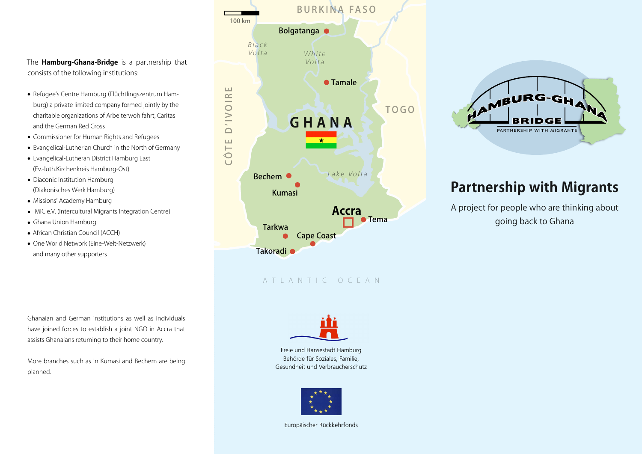The **Hamburg-Ghana-Bridge** is a partnership that consists of the following institutions:

- Refugee's Centre Hamburg (Flüchtlingszentrum Ham-• burg) a private limited company formed jointly by the charitable organizations of Arbeiterwohlfahrt, Caritas and the German Red Cross
- Commissioner for Human Rights and Refugees •
- Evangelical-Lutherian Church in the North of Germany •
- Evangelical-Lutheran District Hamburg East (Ev.-luth.Kirchenkreis Hamburg-Ost)
- Diaconic Institution Hamburg (Diakonisches Werk Hamburg)
- Missions' Academy Hamburg •
- IMIC e.V. (Intercultural Migrants Integration Centre) •
- Ghana Union Hamburg •
- African Christian Council (ACCH) •
- One World Network (Eine-Welt-Netzwerk) and many other supporters

Ghanaian and German institutions as well as individuals have joined forces to establish a joint NGO in Accra that assists Ghanaians returning to their home country.

More branches such as in Kumasi and Bechem are being planned.







### **Partnership with Migrants**

A project for people who are thinking about going back to Ghana

Freie und Hansestadt Hamburg Behörde für Soziales, Familie, Gesundheit und Verbraucherschutz



Europäischer Rückkehrfonds